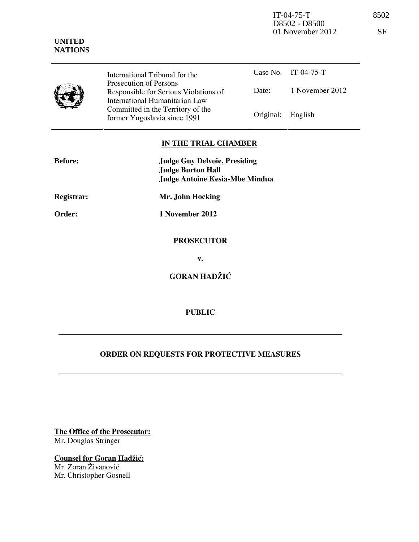IT-04-75-T 8502 D8502 - D8500 01 November 2012 SF



International Tribunal for the Prosecution of Persons Responsible for Serious Violations of International Humanitarian Law Committed in the Territory of the Former Yugoslavia since 1991 **Original:** English

## Case No. IT-04-75-T Date: 1 November 2012

## **IN THE TRIAL CHAMBER**

| <b>Before:</b>    | <b>Judge Guy Delvoie, Presiding</b><br><b>Judge Burton Hall</b><br><b>Judge Antoine Kesia-Mbe Mindua</b> |
|-------------------|----------------------------------------------------------------------------------------------------------|
| <b>Registrar:</b> | Mr. John Hocking                                                                                         |
| Order:            | 1 November 2012                                                                                          |
|                   | <b>PROSECUTOR</b>                                                                                        |
|                   | v.                                                                                                       |
|                   | <b>GORAN HADŽIĆ</b>                                                                                      |

## **PUBLIC**

## **ORDER ON REQUESTS FOR PROTECTIVE MEASURES**

**The Office of the Prosecutor:**

Mr. Douglas Stringer

**Counsel for Goran Hadžić:** Mr. Zoran Živanović Mr. Christopher Gosnell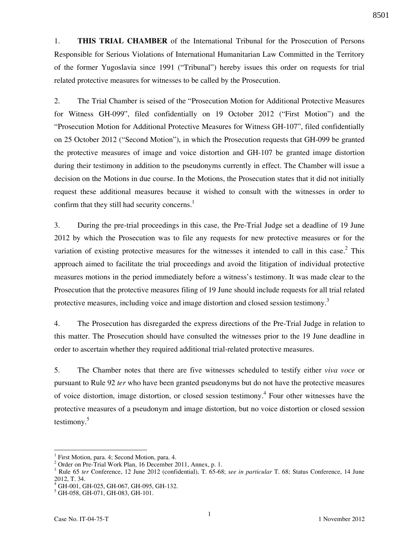1. **THIS TRIAL CHAMBER** of the International Tribunal for the Prosecution of Persons Responsible for Serious Violations of International Humanitarian Law Committed in the Territory of the former Yugoslavia since 1991 ("Tribunal") hereby issues this order on requests for trial related protective measures for witnesses to be called by the Prosecution.

2. The Trial Chamber is seised of the "Prosecution Motion for Additional Protective Measures for Witness GH-099", filed confidentially on 19 October 2012 ("First Motion") and the "Prosecution Motion for Additional Protective Measures for Witness GH-107", filed confidentially on 25 October 2012 ("Second Motion"), in which the Prosecution requests that GH-099 be granted the protective measures of image and voice distortion and GH-107 be granted image distortion during their testimony in addition to the pseudonyms currently in effect. The Chamber will issue a decision on the Motions in due course. In the Motions, the Prosecution states that it did not initially request these additional measures because it wished to consult with the witnesses in order to confirm that they still had security concerns. $<sup>1</sup>$ </sup>

3. During the pre-trial proceedings in this case, the Pre-Trial Judge set a deadline of 19 June 2012 by which the Prosecution was to file any requests for new protective measures or for the variation of existing protective measures for the witnesses it intended to call in this case.<sup>2</sup> This approach aimed to facilitate the trial proceedings and avoid the litigation of individual protective measures motions in the period immediately before a witness's testimony. It was made clear to the Prosecution that the protective measures filing of 19 June should include requests for all trial related protective measures, including voice and image distortion and closed session testimony.<sup>3</sup>

4. The Prosecution has disregarded the express directions of the Pre-Trial Judge in relation to this matter. The Prosecution should have consulted the witnesses prior to the 19 June deadline in order to ascertain whether they required additional trial-related protective measures.

5. The Chamber notes that there are five witnesses scheduled to testify either *viva voce* or pursuant to Rule 92 *ter* who have been granted pseudonyms but do not have the protective measures of voice distortion, image distortion, or closed session testimony.<sup>4</sup> Four other witnesses have the protective measures of a pseudonym and image distortion, but no voice distortion or closed session testimony. $5$ 

 $\overline{a}$ 

<sup>1</sup> First Motion, para. 4; Second Motion, para. 4.

<sup>&</sup>lt;sup>2</sup> Order on Pre-Trial Work Plan, 16 December 2011, Annex, p. 1.

<sup>3</sup> Rule 65 *ter* Conference, 12 June 2012 (confidential), T. 65-68; *see in particular* T. 68; Status Conference, 14 June 2012, T. 34.

<sup>4</sup> GH-001, GH-025, GH-067, GH-095, GH-132.

<sup>5</sup> GH-058, GH-071, GH-083, GH-101.